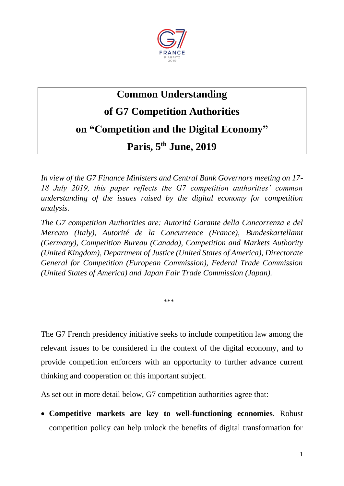

# **Common Understanding**

**of G7 Competition Authorities** 

**on "Competition and the Digital Economy"**

**Paris, 5th June, 2019**

*In view of the G7 Finance Ministers and Central Bank Governors meeting on 17- 18 July 2019, this paper reflects the G7 competition authorities' common understanding of the issues raised by the digital economy for competition analysis.* 

*The G7 competition Authorities are: Autoritá Garante della Concorrenza e del Mercato (Italy), Autorité de la Concurrence (France), Bundeskartellamt (Germany), Competition Bureau (Canada), Competition and Markets Authority (United Kingdom), Department of Justice (United States of America), Directorate General for Competition (European Commission), Federal Trade Commission (United States of America) and Japan Fair Trade Commission (Japan).* 

\*\*\*

The G7 French presidency initiative seeks to include competition law among the relevant issues to be considered in the context of the digital economy, and to provide competition enforcers with an opportunity to further advance current thinking and cooperation on this important subject.

As set out in more detail below, G7 competition authorities agree that:

 **Competitive markets are key to well-functioning economies**. Robust competition policy can help unlock the benefits of digital transformation for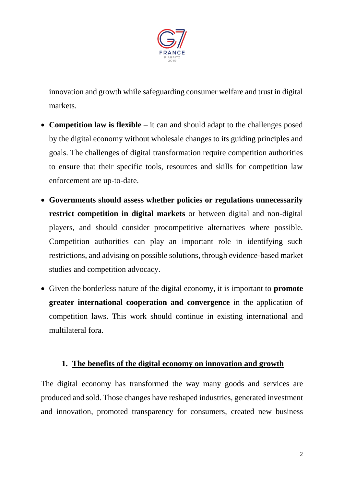

innovation and growth while safeguarding consumer welfare and trust in digital markets.

- **Competition law is flexible** it can and should adapt to the challenges posed by the digital economy without wholesale changes to its guiding principles and goals. The challenges of digital transformation require competition authorities to ensure that their specific tools, resources and skills for competition law enforcement are up-to-date.
- **Governments should assess whether policies or regulations unnecessarily restrict competition in digital markets** or between digital and non-digital players, and should consider procompetitive alternatives where possible. Competition authorities can play an important role in identifying such restrictions, and advising on possible solutions, through evidence-based market studies and competition advocacy.
- Given the borderless nature of the digital economy, it is important to **promote greater international cooperation and convergence** in the application of competition laws. This work should continue in existing international and multilateral fora.

#### **1. The benefits of the digital economy on innovation and growth**

The digital economy has transformed the way many goods and services are produced and sold. Those changes have reshaped industries, generated investment and innovation, promoted transparency for consumers, created new business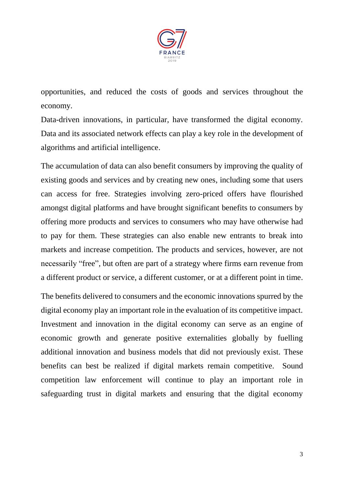

opportunities, and reduced the costs of goods and services throughout the economy.

Data-driven innovations, in particular, have transformed the digital economy. Data and its associated network effects can play a key role in the development of algorithms and artificial intelligence.

The accumulation of data can also benefit consumers by improving the quality of existing goods and services and by creating new ones, including some that users can access for free. Strategies involving zero-priced offers have flourished amongst digital platforms and have brought significant benefits to consumers by offering more products and services to consumers who may have otherwise had to pay for them. These strategies can also enable new entrants to break into markets and increase competition. The products and services, however, are not necessarily "free", but often are part of a strategy where firms earn revenue from a different product or service, a different customer, or at a different point in time.

The benefits delivered to consumers and the economic innovations spurred by the digital economy play an important role in the evaluation of its competitive impact. Investment and innovation in the digital economy can serve as an engine of economic growth and generate positive externalities globally by fuelling additional innovation and business models that did not previously exist. These benefits can best be realized if digital markets remain competitive. Sound competition law enforcement will continue to play an important role in safeguarding trust in digital markets and ensuring that the digital economy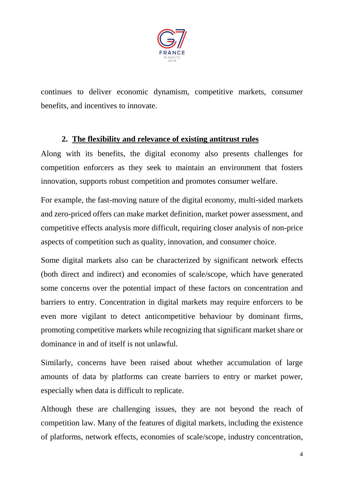

continues to deliver economic dynamism, competitive markets, consumer benefits, and incentives to innovate.

### **2. The flexibility and relevance of existing antitrust rules**

Along with its benefits, the digital economy also presents challenges for competition enforcers as they seek to maintain an environment that fosters innovation, supports robust competition and promotes consumer welfare.

For example, the fast-moving nature of the digital economy, multi-sided markets and zero-priced offers can make market definition, market power assessment, and competitive effects analysis more difficult, requiring closer analysis of non-price aspects of competition such as quality, innovation, and consumer choice.

Some digital markets also can be characterized by significant network effects (both direct and indirect) and economies of scale/scope, which have generated some concerns over the potential impact of these factors on concentration and barriers to entry. Concentration in digital markets may require enforcers to be even more vigilant to detect anticompetitive behaviour by dominant firms, promoting competitive markets while recognizing that significant market share or dominance in and of itself is not unlawful.

Similarly, concerns have been raised about whether accumulation of large amounts of data by platforms can create barriers to entry or market power, especially when data is difficult to replicate.

Although these are challenging issues, they are not beyond the reach of competition law. Many of the features of digital markets, including the existence of platforms, network effects, economies of scale/scope, industry concentration,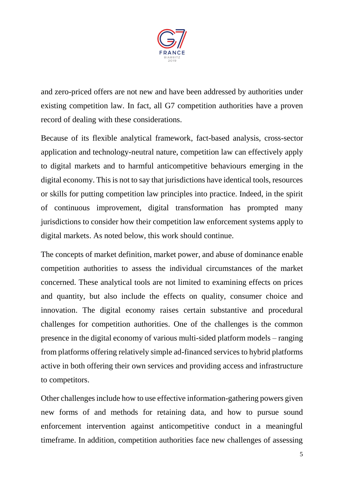

and zero-priced offers are not new and have been addressed by authorities under existing competition law. In fact, all G7 competition authorities have a proven record of dealing with these considerations.

Because of its flexible analytical framework, fact-based analysis, cross-sector application and technology-neutral nature, competition law can effectively apply to digital markets and to harmful anticompetitive behaviours emerging in the digital economy. This is not to say that jurisdictions have identical tools, resources or skills for putting competition law principles into practice. Indeed, in the spirit of continuous improvement, digital transformation has prompted many jurisdictions to consider how their competition law enforcement systems apply to digital markets. As noted below, this work should continue.

The concepts of market definition, market power, and abuse of dominance enable competition authorities to assess the individual circumstances of the market concerned. These analytical tools are not limited to examining effects on prices and quantity, but also include the effects on quality, consumer choice and innovation. The digital economy raises certain substantive and procedural challenges for competition authorities. One of the challenges is the common presence in the digital economy of various multi-sided platform models – ranging from platforms offering relatively simple ad-financed services to hybrid platforms active in both offering their own services and providing access and infrastructure to competitors.

Other challenges include how to use effective information-gathering powers given new forms of and methods for retaining data, and how to pursue sound enforcement intervention against anticompetitive conduct in a meaningful timeframe. In addition, competition authorities face new challenges of assessing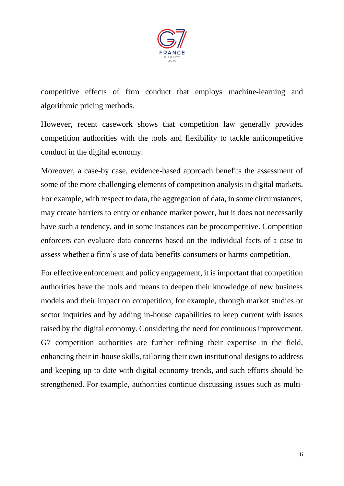

competitive effects of firm conduct that employs machine-learning and algorithmic pricing methods.

However, recent casework shows that competition law generally provides competition authorities with the tools and flexibility to tackle anticompetitive conduct in the digital economy.

Moreover, a case-by case, evidence-based approach benefits the assessment of some of the more challenging elements of competition analysis in digital markets. For example, with respect to data, the aggregation of data, in some circumstances, may create barriers to entry or enhance market power, but it does not necessarily have such a tendency, and in some instances can be procompetitive. Competition enforcers can evaluate data concerns based on the individual facts of a case to assess whether a firm's use of data benefits consumers or harms competition.

For effective enforcement and policy engagement, it is important that competition authorities have the tools and means to deepen their knowledge of new business models and their impact on competition, for example, through market studies or sector inquiries and by adding in-house capabilities to keep current with issues raised by the digital economy. Considering the need for continuous improvement, G7 competition authorities are further refining their expertise in the field, enhancing their in-house skills, tailoring their own institutional designs to address and keeping up-to-date with digital economy trends, and such efforts should be strengthened. For example, authorities continue discussing issues such as multi-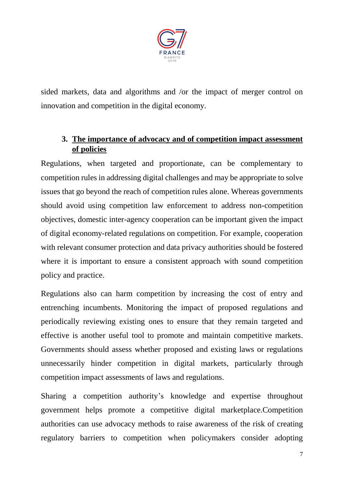

sided markets, data and algorithms and /or the impact of merger control on innovation and competition in the digital economy.

## **3. The importance of advocacy and of competition impact assessment of policies**

Regulations, when targeted and proportionate, can be complementary to competition rules in addressing digital challenges and may be appropriate to solve issues that go beyond the reach of competition rules alone. Whereas governments should avoid using competition law enforcement to address non-competition objectives, domestic inter-agency cooperation can be important given the impact of digital economy-related regulations on competition. For example, cooperation with relevant consumer protection and data privacy authorities should be fostered where it is important to ensure a consistent approach with sound competition policy and practice.

Regulations also can harm competition by increasing the cost of entry and entrenching incumbents. Monitoring the impact of proposed regulations and periodically reviewing existing ones to ensure that they remain targeted and effective is another useful tool to promote and maintain competitive markets. Governments should assess whether proposed and existing laws or regulations unnecessarily hinder competition in digital markets, particularly through competition impact assessments of laws and regulations.

Sharing a competition authority's knowledge and expertise throughout government helps promote a competitive digital marketplace.Competition authorities can use advocacy methods to raise awareness of the risk of creating regulatory barriers to competition when policymakers consider adopting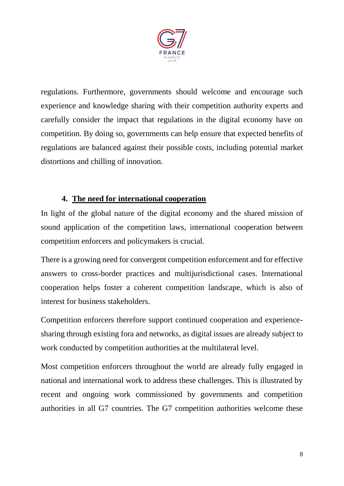

regulations. Furthermore, governments should welcome and encourage such experience and knowledge sharing with their competition authority experts and carefully consider the impact that regulations in the digital economy have on competition. By doing so, governments can help ensure that expected benefits of regulations are balanced against their possible costs, including potential market distortions and chilling of innovation.

### **4. The need for international cooperation**

In light of the global nature of the digital economy and the shared mission of sound application of the competition laws, international cooperation between competition enforcers and policymakers is crucial.

There is a growing need for convergent competition enforcement and for effective answers to cross-border practices and multijurisdictional cases. International cooperation helps foster a coherent competition landscape, which is also of interest for business stakeholders.

Competition enforcers therefore support continued cooperation and experiencesharing through existing fora and networks, as digital issues are already subject to work conducted by competition authorities at the multilateral level.

Most competition enforcers throughout the world are already fully engaged in national and international work to address these challenges. This is illustrated by recent and ongoing work commissioned by governments and competition authorities in all G7 countries. The G7 competition authorities welcome these